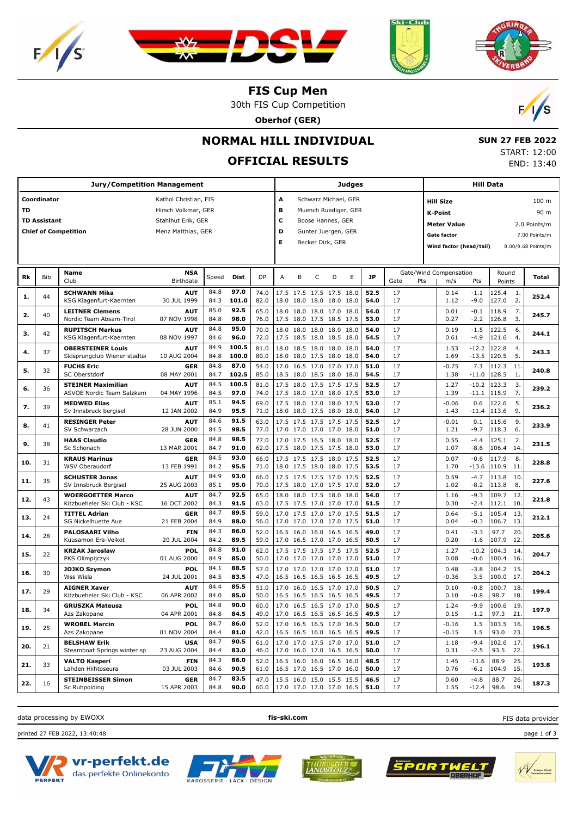







 **SUN 27 FEB 2022** START: 12:00 END: 13:40

**FIS Cup Men**

30th FIS Cup Competition

**Oberhof (GER)**



# **NORMAL HILL INDIVIDUAL**

# **OFFICIAL RESULTS**

**Jury/Competition Management Coordinator** Kathol Christian, FIS **TD** Hirsch Volkmar, GER **TD Assistant** Stahlhut Erik, GER **Chief of Competition** Menz Matthias, GER **Judges A** Schwarz Michael, GER **B** Muench Ruediger, GER **C** Boose Hannes, GER **D** Gunter Juergen, GER **E** Becker Dirk, GER **Hill Data K-Point** 90 m **Hill Size** 100 m **Meter Value** 2.0 Points/m Gate factor 7.00 Points/m **Wind factor (head/tail)** 8.00/9.68 Points/m Bib **Name Birthdate Rk** Bib **Name Right Right Read Example 1 Read Dist DP** A B C D E **JP C** Gate/Wind Compensation Round **Total** Round m/s Pts Points Gate/Wind Compensation Gate Pts **SCHWANN Mika** KSG Klagenfurt-Kaernten 30 JUL 1999 <sup>44</sup> **AUT** 84.8 **97.0** 74.0 17.5 17.5 17.5 17.5 18.0 **52.5** 125.4 84.3 **101.0** 82.0 18.0 18.0 18.0 18.0 18.0 **54.0** 127.0 2. 1. **1. 252.4** -1.1 -9.0 0.14 1.12 17 17 **LEITNER Clemens** Nordic Team Absam-Tirol 07 NOV 1998 <sup>40</sup> **AUT** 85.0 **92.5** 65.0 18.0 18.0 18.0 17.0 18.0 **54.0** 118.9 84.8 **98.0** | 76.0 |17.5 18.0 17.5 18.5 17.5 | **53.0** | 17 | 0.27 -2.2 |126.8 3. 2. 40 LETTRE Clements and Timel 2.2 **AUTEUR 192.5** 65.0 18.0 18.0 18.0 17.0 18.0 17.1 18.9 7.1 18.9 7.1 18.9 7.1 18.9 7.1 18.9 7.1 18.9 7.1 18.9 7.1 18.9 7.1 18.9 7.1 18.9 7.1 18.9 7.1 18.9 7.1 18.9 7.1 18.9 7.1 18.9 7.1 1 -2.2 0.01 0.27 17 17 **RUPITSCH Markus** KSG Klagenfurt-Kaernten 08 NOV 1997 <sup>42</sup> **AUT** 84.8 **95.0** 70.0 18.0 18.0 18.0 18.0 18.0 **54.0** 17 0.19 -1.5 122.5 84.6 **96.0** 72.0 17.5 18.5 18.0 18.5 18.0 **54.5** 121.6 4. **5. 244.1 1 244.1 244.1 244.1 244.1 254.0 264.0 264.0 264.0 264.0 264.0 264.0 264.1 244.1 244.1 244.1 244.1 244.1 244.1 244.1 244.1 244.1 244.1 244.1 244.1 244.1 254.** -4.9  $0.19$  0.61 17 17 **OBERSTEINER Louis** Skisprungclub Wiener stadta and 10 AUG 2004 **AUT**<br>10 AUG 2004 84.9 **100.5** 81.0 18.0 18.5 18.0 18.0 18.0 **54.0** 17 1.53 -12.2 122.8 84.8 **100.0** 80.0 18.0 18.0 17.5 18.0 18.0 **54.0** 17 1.69 -13.5 120.5 5 4. **4. 243.3** -12.2 -13.5 1.53 1.69 17 17 **FUCHS Eric** SC Oberstdorf 08 MAY 2001 <sup>32</sup> **GER 84.8 <b>87.0** 54.0 17.0 16.5 17.0 17.0 17.0 51.0 17 -0.75 7.3 112.3 84.7 **102.5** 85.0 18.5 18.0 18.5 18.0 18.0 **54.5** 17 1.38 -11.0 128.5 1. **5. 240.8 240.8 240.8 240.8 240.8 250.0 24.8 250.0 24.9 240.8 240.8 240.8 240.8 240.8 240.8** -11.0 -0.75 1.38 17 17 **STEINER Maximilian** 36 | STERNEN MARIMINING<br>| ASVOE Nordic Team Salzkam | 04 MAY 1996 **AUT** 84.5 **100.5** 81.0 17.5 18.0 17.5 17.5 17.5 **52.5** 17 84.5 **97.0** 74.0 17.5 18.0 17.0 18.0 17.5 **53.0** 115.9 7. 3. **6. 239.2** -10.2 -11.1 1.27 1.39 17 17 **MEDWED Elias** Sv Innsbruck bergisel 12 JAN 2002 <sup>39</sup> **AUT**<br>12 JAN 2002 **85.1 <b>94.5** 69.0 17.5 18.0 17.0 18.0 17.5 **53.0** 17 -0.06 0.6 122.6 -0.9 **55.5** 71.0 18.0 18.0 17.5 18.0 18.0 17 84.9 **95.5** 71.0 18.0 18.0 17.5 18.0 18.0 **54.0** 113.6 9. 5. **7. 236.2** 0.6 -11.4  $-0.06$  1.43 17 17 **RESINGER Peter** SV Schwarzach **AUT** 41 SV Schwarzach 28 JUN 2000 84.6 **91.5** 63.0 17.5 17.5 17.5 17.5 17.5 **52.5** 115.6 84.5 **98.5** 77.0 17.0 17.0 17.0 17.0 18.0 **51.0** 118.3 6. 9. **8. 233.9** 0.1 -9.7 -0.01 1.21 17 17 **HAAS Claudio** Sc Schonach **GER** 13 MAR 2001 <sup>38</sup> 84.8 **98.5** 77.0 17.0 17.5 16.5 18.0 18.0 **52.5** 17 0.55 -4.4 125.1 **84.7 <b>91.0** 62.0 17.5 18.0 17.5 17.5 18.0 **53.0** 17 1.07 -8.6 106.4 14 **9. 8. 20. <b>20. 20. 20. 20. 20. 20. 21. 21. 21. 21. 21. 21. 21. 21. 21. 21. 21. 21. 21. 21. 21. 21. 21. 21. 21. 21. 21. 21. 21. 21. 21. 21. 21. 21.** -8.6 0.55 1.07 17 17 **KRAUS Marinus** 31 WSV Oberaudorf 13 FEB 1991 **GER** 84.5 **93.0** 66.0 17.5 17.5 17.5 18.0 17.5 **52.5** 117.9 84.2 **95.5** 71.0 18.0 17.5 18.0 18.0 17.5 **53.5** 110.9 11. **10. 228.8 10. 228.8 10. 228.8 10. 228.8 10. 228.8 10. 228.8 10. 228.8 10. 228.8 11. 228.8** -13.6 0.07 1.70 17 17 **SCHUSTER Jonas** SV Innsbruck Bergisel 25 AUG 2003 <sup>35</sup> **AUT**<br>25 AUG 2003 **84.9 <b>93.0** 66.0 17.5 17.5 17.5 17.0 17.5 **52.5** 17 0.59 -4.7 113.8<br>**85.1 <b>95.0** 70.0 17.5 18.0 17.0 17.5 17.0 **52.0** 17 1.02 -8.2 113.8 85.1 **95.0** | 70.0 | 17.5 18.0 17.0 17.5 17.0 | **52.0** | 17 | 1.02 -8.2 | 113.8 8. **11. 23. 12. 12. 12. 12. 12. 12. 12. 12. 12. 12. 12. 12. 12. 12. 12. 12. 12. 12. 12. 12. 12. 12. 12. 12. 12. 12. 12. 12. 12. 12. 12. 12. 12. 12. 12.** -8.2 0.59 1.02 17 17 **WOERGOETTER Marco** Kitzbueheler Ski Club - KSC 16 OCT 2002 <sup>43</sup> **AUT**<br>16 OCT 2002 84.7 **92.5** 65.0 18.0 18.0 17.5 18.0 18.0 **54.0** 109.7 84.3 **91.5** 63.0 17.5 17.5 17.0 17.0 17.0 **51.5** 17 0.30 -2.4 112.1 10 12. 43 WE RESOLUT EXTREMENT ON THE 221.8<br>12. 43 WE RESOLUTE A 221.8<br>**12.** 43 WE RESOLUTE A 221.8 -2.4 1.16 0.30 17 17 **TITTEL Adrian** 24 SG Nickelhuette Aue 21 FEB 2004 **GER 84.7 89.5** 59.0 17.0 17.5 17.0 17.0 17.5 **51.5** 17 84.9 **88.0** | 56.0 |17.0 17.0 17.0 17.0 17.5 | **51.0** | 17 | 0.04 -0.3 |106.7 13. **13.** 24 **TITTEL Adrian**<br> **13.** 24 **TITTEL Adrian**<br> **13.** 24 **TITTEL Adrian** -0.3 0.64 0.04  $\overline{17}$  17 **PALOSAARI Vilho** Kuusamon Era-Veikot 20 JUL 2004 <sup>28</sup> **FIN 84.3 <b>86.0** 52.0 16.5 16.0 16.0 16.5 16.5 **49.0** 17 0.41 -3.3 97.7 84.2 **89.5** 59.0 17.0 16.5 17.0 17.0 16.5 **50.5** 107.9 12. **14.** 28 **PALOSAARI Vilho 14. 14. 14. 14. 14. 14. 14. 14. 14. 14. 14. 14. 14. 14. 14. 14. 14. 14. 14. 14. 14. 14. 14. 14. 14. 14. 14. 14. 14. 14. 14. 14. 14** -1.6 0.41 0.20 17 17 **KRZAK Jaroslaw** PKS Olimpijczyk **POL KRZAK Jaroslaw POL**<br>PKS Olimpijczyk 01 AUG 2000 **84.8 <b>91.0** 62.0 17.5 17.5 17.5 17.5 17.5 **52.5** 17 **84.9 <b>85.0** 50.0 17.0 17.0 17.0 17.0 17.0 51.0 17 0.08 -0.6 100.4 16 14. **15. 204.7** -10.2 -0.6 1.27 0.08 17 17 **JOJKO Szymon** Wss Wisla **POL** 24 JUL 2001 <sup>30</sup> 84.1 **88.5** 57.0 17.0 17.0 17.0 17.0 17.0 **51.0** 104.2 16.5 16.5 16.5 16.5 16.5 **49.5** 17 17 -0.36 3.5 100.0 17 **16. 201KO Szymon 201KO Szymon 201KO** Structure **201KO**  $\frac{1}{20}$  **201KO** Saturation **201KO** Structure **201KO** Structure **201KO** Structure **201KO** Structure **201KO** Structure **201KO** Structure **201KO** Structure **201**  3.5  $0.48$ -0.36 17 17 **AIGNER Xaver** Kitzbueheler Ski Club - KSC 06 APR 2002 <sup>29</sup> **AUT 84.4 <b>85.5** 51.0 17.0 16.0 16.5 17.0 17.0 50.5 17 0.10 -0.8 100.7 84.0 **85.0** 50.0 16.5 16.5 16.5 16.5 16.5 **49.5** 17 0.10 -0.8 98.7 18 **17.** 29 **AIGNER Xaver** 2011 (1.1 **AIGNER Xaver 2011) 199.4 199.4 199.4 199.4 199.4 199.4 199.4 199.4 199.4 199.4 199.4 199.4 199.4 199.4** -0.8  $0.10$  0.10 17 17 **GRUSZKA Mateusz** Azs Zakopane 04 APR 2001 <sup>34</sup> **POL 18. 34. 6RUSZKA Mateusz <b>POL** 84.8 **90.0** 60.0 17.0 16.5 17.0 17.0 **50.5** 17 1.24 -9.9 100.6 19. **197.9** 100.6 19. **197.9** 84.8 **84.5** 49.0 17.0 16.5 16.5 16.5 16.5 **49.5** 17 0.15 -1.2 97.3 21 -1.2 1.24 0.15 17 17 **WROBEL Marcin** Azs Zakopane **POL** 25 WROBEL Marcin<br>Azs Zakopane 01 NOV 2004 **84.7 <b>86.0** 52.0 17.0 16.5 16.5 17.0 16.5 **50.0** 17 **103.5** 103.5 **84.4 81.0** | 42.0 | 16.5 16.5 16.0 16.5 16.5 | **49.5** | 17 |  $-0.15$  1.5 | 93.0 23 16. **19. 196.5** 1.5 1.5 -0.16  $-0.15$  17 17 **BELSHAW Erik** Steamboat Springs winter sports clu 23 AUG 2004 <sup>21</sup> **USA**<br>23 AUG 2004 **84.7 <b>90.5** 61.0 17.0 17.0 17.5 17.0 17.0 **51.0** 17 1.18 -9.4 102.6 14.4 **83.0** 46.0 17.0 16.0 17.0 16.5 16.5 **50.0** 17 0.31 -2.5 93.5 46.0 17.0 16.0 17.0 16.5 16.5 **50.0** 17 0.31 -2.5 93.5 22 **20. 21. 21. 21. 21. 21. 21. 21. 21. 21. 21. 21. 21. 21. 21. 21. 21. 21. 21. 21. 21. 21. 21. 21. 21. 21. 21. 21. 21. 21. 21. 21. 21. 21. 21. 21. 21.**  $-2.5$  1.18 0.31 17 17 **VALTO Kasperi** Lahden Hiihtoseura 03 JUL 2003 <sup>33</sup> **FIN**<br>2003 JUL 2003 **84.3 86.0** 52.0 16.5 16.0 16.0 16.5 16.0 **48.5** 17 1.45 -11.6 88.9 **84.6 90.5** 61.0 16.5 17.0 16.5 17.0 16.0 **50.0** 17 0.76 -6.1 104.9 15 **21. 21. 23. 21. 23. 24. 24. 24. 24. 24. 24. 24. 24. 24. 24. 24. 24. 24. 24. 24. 24. 24. 24. 24. 24. 24. 24. 24. 24. 24. 24. 24. 24. 24. 24. 24. 24.** -6.1 1.45 0.76 17 17 **STEINBEISSER Simon** 16 Sc Ruhpolding 15 APR 2003 **GER** 84.7 **83.5** 47.0 15.5 16.0 15.0 15.5 15.5 **46.5** 17 0.60 -4.8 88.7 **84.8 <b>90.0** 60.0 17.0 17.0 17.0 17.0 16.5 **51.0** 17 1.55 -12.4 98.6 19 27. **18. <b>22. 22. 18. <b>22. 22. 22. 22. 22. 22. 22. 23. 24. 24. 24. 24. 24. 24. 24. 24. 24. 24. 24. 24. 24. 24. 24. 24. 24. 24. 24. 24. 24. 24. 24. 24. 24.** -12.4 0.60 1.55 17 17

data processing by EWOXX **fis-ski.com**

FIS data provider

printed 27 FEB 2022, 13:40:48 page 1 of 3









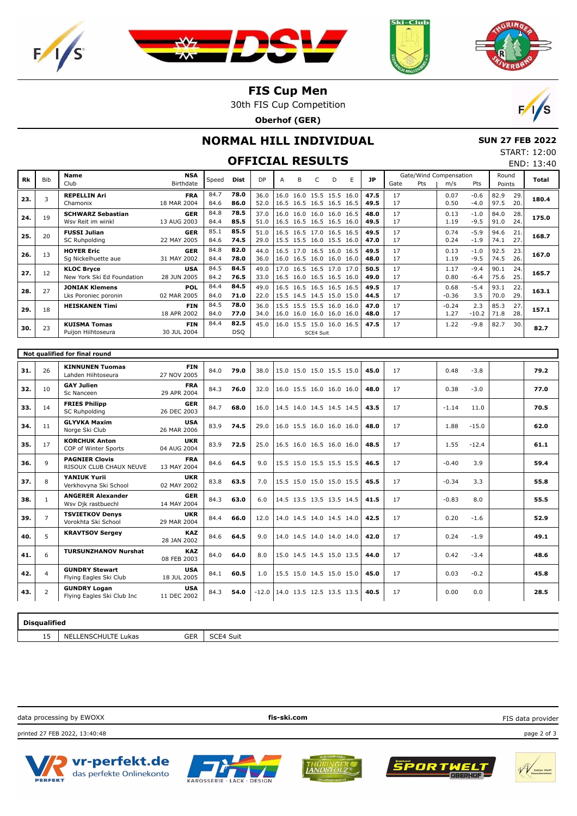





### **FIS Cup Men**

30th FIS Cup Competition

**Oberhof (GER)**



END: 13:40

## **NORMAL HILL INDIVIDUAL**

 **SUN 27 FEB 2022** START: 12:00

# **OFFICIAL RESULTS**

| Rk                            | <b>Bib</b>     | Name                        | <b>NSA</b>  | Speed | Dist       | DP      | A                        | B | C         | D                        | E | <b>JP</b> |      |     | Gate/Wind Compensation |         | Round  |     | Total |
|-------------------------------|----------------|-----------------------------|-------------|-------|------------|---------|--------------------------|---|-----------|--------------------------|---|-----------|------|-----|------------------------|---------|--------|-----|-------|
|                               |                | Club                        | Birthdate   |       |            |         |                          |   |           |                          |   |           | Gate | Pts | m/s                    | Pts     | Points |     |       |
|                               | 3              | <b>REPELLIN Ari</b>         | <b>FRA</b>  | 84.7  | 78.0       | 36.0    |                          |   |           | 16.0 16.0 15.5 15.5 16.0 |   | 47.5      | 17   |     | 0.07                   | $-0.6$  | 82.9   | 29. | 180.4 |
| 23.                           |                | Chamonix                    | 18 MAR 2004 | 84.6  | 86.0       | 52.0    |                          |   |           | 16.5 16.5 16.5 16.5 16.5 |   | 49.5      | 17   |     | 0.50                   | $-4.0$  | 97.5   | 20. |       |
|                               |                | <b>SCHWARZ Sebastian</b>    | <b>GER</b>  | 84.8  | 78.5       | 37.0    |                          |   |           | 16.0 16.0 16.0 16.0 16.5 |   | 48.0      | 17   |     | 0.13                   | $-1.0$  | 84.0   | 28. |       |
| 24.                           | 19             | Wsv Reit im winkl           | 13 AUG 2003 | 84.4  | 85.5       | 51.0    |                          |   |           | 16.5 16.5 16.5 16.5 16.0 |   | 49.5      | 17   |     | 1.19                   | $-9.5$  | 91.0   | 24. | 175.0 |
|                               |                | <b>FUSSI Julian</b>         | <b>GER</b>  | 85.1  | 85.5       | 51.0    |                          |   |           | 16.5 16.5 17.0 16.5 16.5 |   | 49.5      | 17   |     | 0.74                   | $-5.9$  | 94.6   | 21  |       |
| 25.                           | 20             | <b>SC Ruhpolding</b>        | 22 MAY 2005 | 84.6  | 74.5       | 29.0    |                          |   |           | 15.5 15.5 16.0 15.5 16.0 |   | 47.0      | 17   |     | 0.24                   | $-1.9$  | 74.1   | 27. | 168.7 |
|                               |                | <b>HOYER Eric</b>           | <b>GER</b>  | 84.8  | 82.0       | 44.0    |                          |   |           | 16.5 17.0 16.5 16.0 16.5 |   | 49.5      | 17   |     | 0.13                   | $-1.0$  | 92.5   | 23. |       |
| 26.                           | 13             | Sq Nickelhuette aue         | 31 MAY 2002 | 84.4  | 78.0       | 36.0    |                          |   |           | 16.0 16.5 16.0 16.0 16.0 |   | 48.0      | 17   |     | 1.19                   | $-9.5$  | 74.5   | 26. | 167.0 |
|                               |                | <b>KLOC Bryce</b>           | <b>USA</b>  | 84.5  | 84.5       | 49.0    |                          |   |           | 17.0 16.5 16.5 17.0 17.0 |   | 50.5      | 17   |     | 1.17                   | $-9.4$  | 90.1   | 24. |       |
| 27.                           | 12             | New York Ski Ed Foundation  | 28 JUN 2005 | 84.2  | 76.5       | 33.0    |                          |   |           | 16.5 16.0 16.5 16.5 16.0 |   | 49.0      | 17   |     | 0.80                   | $-6.4$  | 75.6   | 25. | 165.7 |
|                               |                | <b>JONIAK Klemens</b>       | POL         | 84.4  | 84.5       | 49.0    |                          |   |           | 16.5 16.5 16.5 16.5 16.5 |   | 49.5      | 17   |     | 0.68                   | $-5.4$  | 93.1   | 22. |       |
| 28.                           | 27             | Lks Poroniec poronin        | 02 MAR 2005 | 84.0  | 71.0       | 22.0    |                          |   |           | 15.5 14.5 14.5 15.0 15.0 |   | 44.5      | 17   |     | $-0.36$                | 3.5     | 70.0   | 29. | 163.1 |
|                               |                | <b>HEISKANEN Timi</b>       | <b>FIN</b>  | 84.5  | 78.0       | 36.0    |                          |   |           | 15.5 15.5 15.5 16.0 16.0 |   | 47.0      | 17   |     | $-0.24$                | 2.3     | 85.3   | 27. |       |
| 29.                           | 18             |                             | 18 APR 2002 | 84.0  | 77.0       | 34.0    |                          |   |           | 16.0 16.0 16.0 16.0 16.0 |   | 48.0      | 17   |     | 1.27                   | $-10.2$ | 71.8   | 28. | 157.1 |
|                               |                | <b>KUISMA Tomas</b>         | <b>FIN</b>  | 84.4  | 82.5       | 45.0    |                          |   |           | 16.0 15.5 15.0 16.0 16.5 |   | 47.5      | 17   |     | 1.22                   | $-9.8$  | 82.7   | 30. |       |
| 30.                           | 23             | Puijon Hiihtoseura          | 30 JUL 2004 |       | <b>DSQ</b> |         |                          |   | SCE4 Suit |                          |   |           |      |     |                        |         |        |     | 82.7  |
|                               |                |                             |             |       |            |         |                          |   |           |                          |   |           |      |     |                        |         |        |     |       |
| Not qualified for final round |                |                             |             |       |            |         |                          |   |           |                          |   |           |      |     |                        |         |        |     |       |
|                               |                |                             |             |       |            |         |                          |   |           |                          |   |           |      |     |                        |         |        |     |       |
| 31.                           | 26             | <b>KINNUNEN Tuomas</b>      | <b>FIN</b>  | 84.0  | 79.0       | 38.0    |                          |   |           | 15.0 15.0 15.0 15.5 15.0 |   | 45.0      | 17   |     | 0.48                   | $-3.8$  |        |     | 79.2  |
|                               |                | Lahden Hiihtoseura          | 27 NOV 2005 |       |            |         |                          |   |           |                          |   |           |      |     |                        |         |        |     |       |
| 32.                           | 10             | <b>GAY Julien</b>           | <b>FRA</b>  | 84.3  | 76.0       | 32.0    |                          |   |           | 16.0 15.5 16.0 16.0 16.0 |   | 48.0      | 17   |     | 0.38                   | $-3.0$  |        |     | 77.0  |
|                               |                | Sc Nanceen                  | 29 APR 2004 |       |            |         |                          |   |           |                          |   |           |      |     |                        |         |        |     |       |
| 33.                           | 14             | <b>FRIES Philipp</b>        | <b>GER</b>  | 84.7  | 68.0       | 16.0    |                          |   |           | 14.5 14.0 14.5 14.5 14.5 |   | 43.5      | 17   |     | $-1.14$                | 11.0    |        |     | 70.5  |
|                               |                | <b>SC Ruhpolding</b>        | 26 DEC 2003 |       |            |         |                          |   |           |                          |   |           |      |     |                        |         |        |     |       |
| 34.                           | 11             | <b>GLYVKA Maxim</b>         | <b>USA</b>  | 83.9  | 74.5       | 29.0    |                          |   |           | 16.0 15.5 16.0 16.0 16.0 |   | 48.0      | 17   |     | 1.88                   | $-15.0$ |        |     | 62.0  |
|                               |                | Norge Ski Club              | 26 MAR 2006 |       |            |         |                          |   |           |                          |   |           |      |     |                        |         |        |     |       |
| 35.                           | 17             | <b>KORCHUK Anton</b>        | <b>UKR</b>  | 83.9  | 72.5       | 25.0    |                          |   |           | 16.5 16.0 16.5 16.0 16.0 |   | 48.5      | 17   |     | 1.55                   | $-12.4$ |        |     | 61.1  |
|                               |                | COP of Winter Sports        | 04 AUG 2004 |       |            |         |                          |   |           |                          |   |           |      |     |                        |         |        |     |       |
|                               | 9              | <b>PAGNIER Clovis</b>       | <b>FRA</b>  |       |            |         |                          |   |           |                          |   | 46.5      | 17   |     |                        | 3.9     |        |     |       |
| 36.                           |                | RISOUX CLUB CHAUX NEUVE     | 13 MAY 2004 | 84.6  | 64.5       | 9.0     |                          |   |           | 15.5 15.0 15.5 15.5 15.5 |   |           |      |     | $-0.40$                |         |        |     | 59.4  |
| 37.                           | 8              | <b>YANIUK Yurii</b>         | <b>UKR</b>  | 83.8  | 63.5       | 7.0     |                          |   |           | 15.5 15.0 15.0 15.0 15.5 |   | 45.5      | 17   |     | $-0.34$                | 3.3     |        |     | 55.8  |
|                               |                | Verkhovyna Ski School       | 02 MAY 2002 |       |            |         |                          |   |           |                          |   |           |      |     |                        |         |        |     |       |
| 38.                           | $\mathbf{1}$   | <b>ANGERER Alexander</b>    | <b>GER</b>  | 84.3  | 63.0       | 6.0     |                          |   |           | 14.5 13.5 13.5 13.5 14.5 |   | 41.5      | 17   |     | $-0.83$                | 8.0     |        |     | 55.5  |
|                               |                | Wsv Djk rastbuechl          | 14 MAY 2004 |       |            |         |                          |   |           |                          |   |           |      |     |                        |         |        |     |       |
| 39.                           | $\overline{7}$ | <b>TSVIETKOV Denys</b>      | <b>UKR</b>  |       | 66.0       |         |                          |   |           | 14.0 14.5 14.0 14.5 14.0 |   | 42.5      | 17   |     | 0.20                   | $-1.6$  |        |     | 52.9  |
|                               |                | Vorokhta Ski School         | 29 MAR 2004 | 84.4  |            | 12.0    |                          |   |           |                          |   |           |      |     |                        |         |        |     |       |
| 40.                           | 5              | <b>KRAVTSOV Sergey</b>      | <b>KAZ</b>  | 84.6  | 64.5       | 9.0     |                          |   |           | 14.0 14.5 14.0 14.0 14.0 |   | 42.0      | 17   |     | 0.24                   | $-1.9$  |        |     | 49.1  |
|                               |                |                             | 28 JAN 2002 |       |            |         |                          |   |           |                          |   |           |      |     |                        |         |        |     |       |
| 41.                           | 6              | <b>TURSUNZHANOV Nurshat</b> | <b>KAZ</b>  | 84.0  | 64.0       | 8.0     |                          |   |           | 15.0 14.5 14.5 15.0 13.5 |   | 44.0      | 17   |     | 0.42                   | $-3.4$  |        |     | 48.6  |
|                               |                |                             | 08 FEB 2003 |       |            |         |                          |   |           |                          |   |           |      |     |                        |         |        |     |       |
|                               |                | <b>GUNDRY Stewart</b>       | <b>USA</b>  |       |            |         |                          |   |           |                          |   |           |      |     |                        |         |        |     |       |
| 42.                           | $\overline{4}$ | Flying Eagles Ski Club      | 18 JUL 2005 | 84.1  | 60.5       | 1.0     |                          |   |           | 15.5 15.0 14.5 15.0 15.0 |   | 45.0      | 17   |     | 0.03                   | $-0.2$  |        |     | 45.8  |
|                               |                | <b>GUNDRY Logan</b>         | <b>USA</b>  |       |            |         |                          |   |           |                          |   |           |      |     | 0.00                   |         |        |     |       |
| 43.                           | $\overline{2}$ | Flying Eagles Ski Club Inc  | 11 DEC 2002 | 84.3  | 54.0       | $-12.0$ | 14.0 13.5 12.5 13.5 13.5 |   |           |                          |   | 40.5      | 17   |     |                        | 0.0     |        |     | 28.5  |

| Disgualified   |                                                                            |                                           |  |  |  |  |  |  |  |
|----------------|----------------------------------------------------------------------------|-------------------------------------------|--|--|--|--|--|--|--|
| --<br>NE!<br>ᅩ | CED<br>$\cdots$ $\cdots$<br><b>_ENSCH</b><br>Lukas<br><b>JEK</b><br>$\sim$ | $\sim$ $\sim$ $\sim$<br>Suit<br>- 1<br>ハー |  |  |  |  |  |  |  |

data processing by EWOXX **fis-ski.com**

printed 27 FEB 2022, 13:40:48 page 2 of 3











FIS data provider